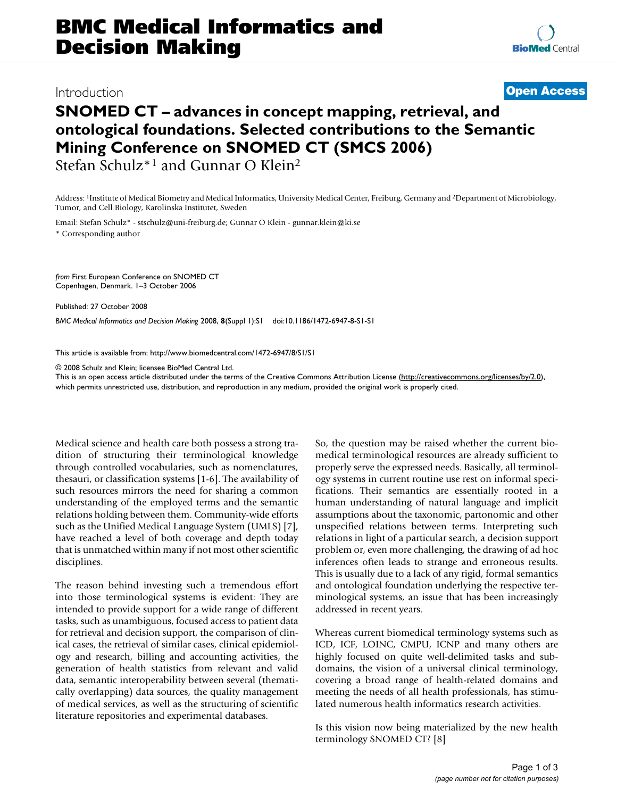## Introduction **[Open Access](http://www.biomedcentral.com/info/about/charter/)**

# **SNOMED CT – advances in concept mapping, retrieval, and ontological foundations. Selected contributions to the Semantic Mining Conference on SNOMED CT (SMCS 2006)**

Stefan Schulz\*1 and Gunnar O Klein2

Address: 1Institute of Medical Biometry and Medical Informatics, University Medical Center, Freiburg, Germany and 2Department of Microbiology, Tumor, and Cell Biology, Karolinska Institutet, Sweden

Email: Stefan Schulz\* - stschulz@uni-freiburg.de; Gunnar O Klein - gunnar.klein@ki.se

\* Corresponding author

*from* First European Conference on SNOMED CT Copenhagen, Denmark. 1–3 October 2006

Published: 27 October 2008

*BMC Medical Informatics and Decision Making* 2008, **8**(Suppl 1):S1 doi:10.1186/1472-6947-8-S1-S1

[This article is available from: http://www.biomedcentral.com/1472-6947/8/S1/S1](http://www.biomedcentral.com/1472-6947/8/S1/S1)

© 2008 Schulz and Klein; licensee BioMed Central Ltd.

This is an open access article distributed under the terms of the Creative Commons Attribution License [\(http://creativecommons.org/licenses/by/2.0\)](http://creativecommons.org/licenses/by/2.0), which permits unrestricted use, distribution, and reproduction in any medium, provided the original work is properly cited.

Medical science and health care both possess a strong tradition of structuring their terminological knowledge through controlled vocabularies, such as nomenclatures, thesauri, or classification systems [1-6]. The availability of such resources mirrors the need for sharing a common understanding of the employed terms and the semantic relations holding between them. Community-wide efforts such as the Unified Medical Language System (UMLS) [7], have reached a level of both coverage and depth today that is unmatched within many if not most other scientific disciplines.

The reason behind investing such a tremendous effort into those terminological systems is evident: They are intended to provide support for a wide range of different tasks, such as unambiguous, focused access to patient data for retrieval and decision support, the comparison of clinical cases, the retrieval of similar cases, clinical epidemiology and research, billing and accounting activities, the generation of health statistics from relevant and valid data, semantic interoperability between several (thematically overlapping) data sources, the quality management of medical services, as well as the structuring of scientific literature repositories and experimental databases.

So, the question may be raised whether the current biomedical terminological resources are already sufficient to properly serve the expressed needs. Basically, all terminology systems in current routine use rest on informal specifications. Their semantics are essentially rooted in a human understanding of natural language and implicit assumptions about the taxonomic, partonomic and other unspecified relations between terms. Interpreting such relations in light of a particular search, a decision support problem or, even more challenging, the drawing of ad hoc inferences often leads to strange and erroneous results. This is usually due to a lack of any rigid, formal semantics and ontological foundation underlying the respective terminological systems, an issue that has been increasingly addressed in recent years.

Whereas current biomedical terminology systems such as ICD, ICF, LOINC, CMPU, ICNP and many others are highly focused on quite well-delimited tasks and subdomains, the vision of a universal clinical terminology, covering a broad range of health-related domains and meeting the needs of all health professionals, has stimulated numerous health informatics research activities.

Is this vision now being materialized by the new health terminology SNOMED CT? [8]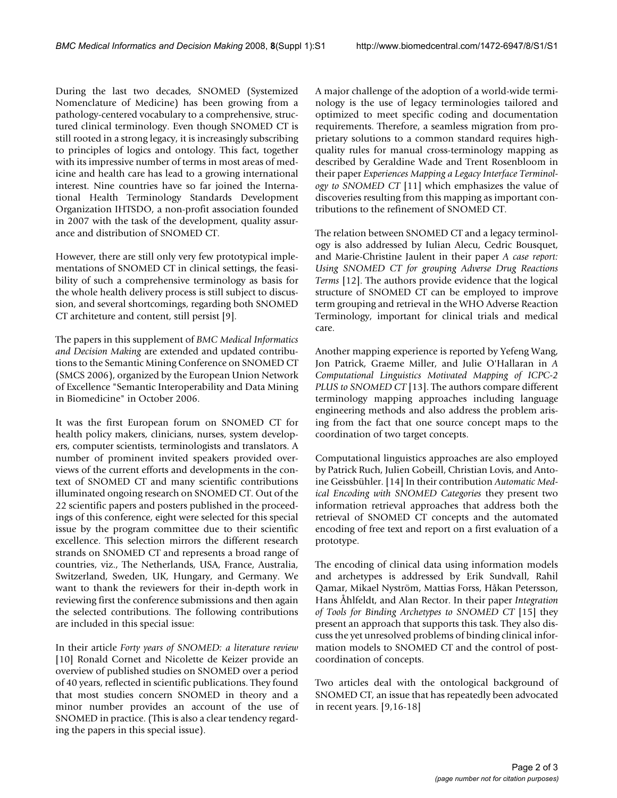During the last two decades, SNOMED (Systemized Nomenclature of Medicine) has been growing from a pathology-centered vocabulary to a comprehensive, structured clinical terminology. Even though SNOMED CT is still rooted in a strong legacy, it is increasingly subscribing to principles of logics and ontology. This fact, together with its impressive number of terms in most areas of medicine and health care has lead to a growing international interest. Nine countries have so far joined the International Health Terminology Standards Development Organization IHTSDO, a non-profit association founded in 2007 with the task of the development, quality assurance and distribution of SNOMED CT.

However, there are still only very few prototypical implementations of SNOMED CT in clinical settings, the feasibility of such a comprehensive terminology as basis for the whole health delivery process is still subject to discussion, and several shortcomings, regarding both SNOMED CT architeture and content, still persist [9].

The papers in this supplement of *BMC Medical Informatics and Decision Making* are extended and updated contributions to the Semantic Mining Conference on SNOMED CT (SMCS 2006), organized by the European Union Network of Excellence "Semantic Interoperability and Data Mining in Biomedicine" in October 2006.

It was the first European forum on SNOMED CT for health policy makers, clinicians, nurses, system developers, computer scientists, terminologists and translators. A number of prominent invited speakers provided overviews of the current efforts and developments in the context of SNOMED CT and many scientific contributions illuminated ongoing research on SNOMED CT. Out of the 22 scientific papers and posters published in the proceedings of this conference, eight were selected for this special issue by the program committee due to their scientific excellence. This selection mirrors the different research strands on SNOMED CT and represents a broad range of countries, viz., The Netherlands, USA, France, Australia, Switzerland, Sweden, UK, Hungary, and Germany. We want to thank the reviewers for their in-depth work in reviewing first the conference submissions and then again the selected contributions. The following contributions are included in this special issue:

In their article *Forty years of SNOMED: a literature review* [10] Ronald Cornet and Nicolette de Keizer provide an overview of published studies on SNOMED over a period of 40 years, reflected in scientific publications. They found that most studies concern SNOMED in theory and a minor number provides an account of the use of SNOMED in practice. (This is also a clear tendency regarding the papers in this special issue).

A major challenge of the adoption of a world-wide terminology is the use of legacy terminologies tailored and optimized to meet specific coding and documentation requirements. Therefore, a seamless migration from proprietary solutions to a common standard requires highquality rules for manual cross-terminology mapping as described by Geraldine Wade and Trent Rosenbloom in their paper *Experiences Mapping a Legacy Interface Terminology to SNOMED CT* [11] which emphasizes the value of discoveries resulting from this mapping as important contributions to the refinement of SNOMED CT.

The relation between SNOMED CT and a legacy terminology is also addressed by Iulian Alecu, Cedric Bousquet, and Marie-Christine Jaulent in their paper *A case report: Using SNOMED CT for grouping Adverse Drug Reactions Terms* [12]. The authors provide evidence that the logical structure of SNOMED CT can be employed to improve term grouping and retrieval in the WHO Adverse Reaction Terminology, important for clinical trials and medical care.

Another mapping experience is reported by Yefeng Wang, Jon Patrick, Graeme Miller, and Julie O'Hallaran in *A Computational Linguistics Motivated Mapping of ICPC-2 PLUS to SNOMED CT* [13]. The authors compare different terminology mapping approaches including language engineering methods and also address the problem arising from the fact that one source concept maps to the coordination of two target concepts.

Computational linguistics approaches are also employed by Patrick Ruch, Julien Gobeill, Christian Lovis, and Antoine Geissbühler. [14] In their contribution *Automatic Medical Encoding with SNOMED Categories* they present two information retrieval approaches that address both the retrieval of SNOMED CT concepts and the automated encoding of free text and report on a first evaluation of a prototype.

The encoding of clinical data using information models and archetypes is addressed by Erik Sundvall, Rahil Qamar, Mikael Nyström, Mattias Forss, Håkan Petersson, Hans Åhlfeldt, and Alan Rector. In their paper *Integration of Tools for Binding Archetypes to SNOMED CT* [15] they present an approach that supports this task. They also discuss the yet unresolved problems of binding clinical information models to SNOMED CT and the control of postcoordination of concepts.

Two articles deal with the ontological background of SNOMED CT, an issue that has repeatedly been advocated in recent years. [9,16-18]